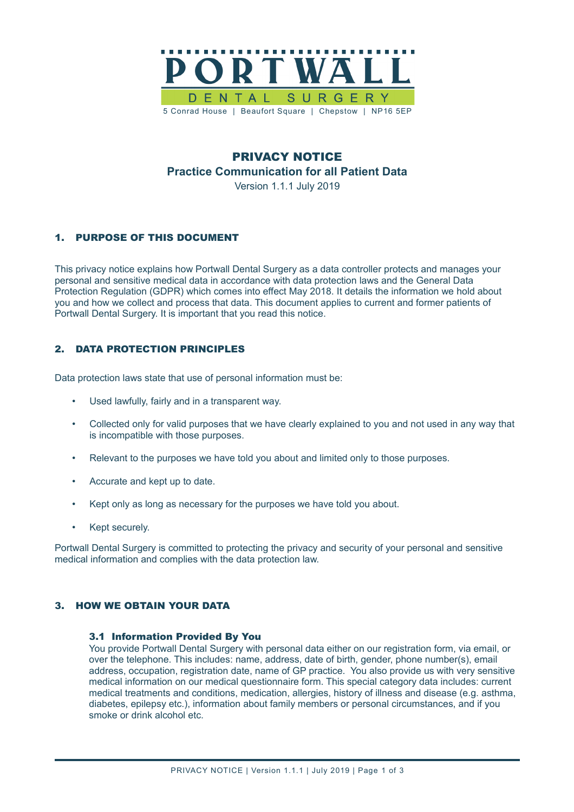

# PRIVACY NOTICE **Practice Communication for all Patient Data** Version 1.1.1 July 2019

# 1. PURPOSE OF THIS DOCUMENT

This privacy notice explains how Portwall Dental Surgery as a data controller protects and manages your personal and sensitive medical data in accordance with data protection laws and the General Data Protection Regulation (GDPR) which comes into effect May 2018. It details the information we hold about you and how we collect and process that data. This document applies to current and former patients of Portwall Dental Surgery. It is important that you read this notice.

## 2. DATA PROTECTION PRINCIPLES

Data protection laws state that use of personal information must be:

- Used lawfully, fairly and in a transparent way.
- Collected only for valid purposes that we have clearly explained to you and not used in any way that is incompatible with those purposes.
- Relevant to the purposes we have told you about and limited only to those purposes.
- Accurate and kept up to date.
- Kept only as long as necessary for the purposes we have told you about.
- Kept securely.

Portwall Dental Surgery is committed to protecting the privacy and security of your personal and sensitive medical information and complies with the data protection law.

### 3. HOW WE OBTAIN YOUR DATA

#### 3.1 Information Provided By You

You provide Portwall Dental Surgery with personal data either on our registration form, via email, or over the telephone. This includes: name, address, date of birth, gender, phone number(s), email address, occupation, registration date, name of GP practice. You also provide us with very sensitive medical information on our medical questionnaire form. This special category data includes: current medical treatments and conditions, medication, allergies, history of illness and disease (e.g. asthma, diabetes, epilepsy etc.), information about family members or personal circumstances, and if you smoke or drink alcohol etc.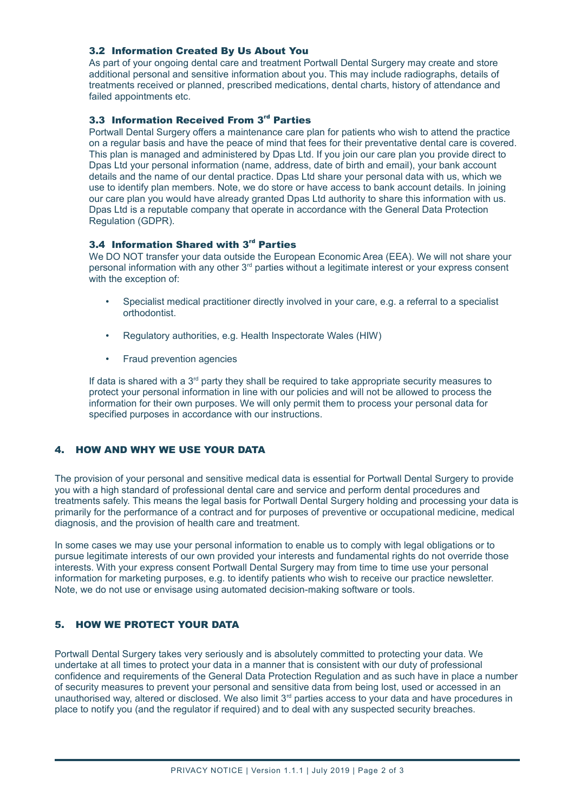## 3.2 Information Created By Us About You

As part of your ongoing dental care and treatment Portwall Dental Surgery may create and store additional personal and sensitive information about you. This may include radiographs, details of treatments received or planned, prescribed medications, dental charts, history of attendance and failed appointments etc.

### 3.3 Information Received From 3rd Parties

Portwall Dental Surgery offers a maintenance care plan for patients who wish to attend the practice on a regular basis and have the peace of mind that fees for their preventative dental care is covered. This plan is managed and administered by Dpas Ltd. If you join our care plan you provide direct to Dpas Ltd your personal information (name, address, date of birth and email), your bank account details and the name of our dental practice. Dpas Ltd share your personal data with us, which we use to identify plan members. Note, we do store or have access to bank account details. In joining our care plan you would have already granted Dpas Ltd authority to share this information with us. Dpas Ltd is a reputable company that operate in accordance with the General Data Protection Regulation (GDPR).

## 3.4 Information Shared with 3<sup>rd</sup> Parties

We DO NOT transfer your data outside the European Economic Area (EEA). We will not share your personal information with any other  $3<sup>rd</sup>$  parties without a legitimate interest or your express consent with the exception of:

- Specialist medical practitioner directly involved in your care, e.g. a referral to a specialist orthodontist.
- Regulatory authorities, e.g. Health Inspectorate Wales (HIW)
- Fraud prevention agencies

If data is shared with a  $3<sup>rd</sup>$  party they shall be required to take appropriate security measures to protect your personal information in line with our policies and will not be allowed to process the information for their own purposes. We will only permit them to process your personal data for specified purposes in accordance with our instructions.

## 4. HOW AND WHY WE USE YOUR DATA

The provision of your personal and sensitive medical data is essential for Portwall Dental Surgery to provide you with a high standard of professional dental care and service and perform dental procedures and treatments safely. This means the legal basis for Portwall Dental Surgery holding and processing your data is primarily for the performance of a contract and for purposes of preventive or occupational medicine, medical diagnosis, and the provision of health care and treatment.

In some cases we may use your personal information to enable us to comply with legal obligations or to pursue legitimate interests of our own provided your interests and fundamental rights do not override those interests. With your express consent Portwall Dental Surgery may from time to time use your personal information for marketing purposes, e.g. to identify patients who wish to receive our practice newsletter. Note, we do not use or envisage using automated decision-making software or tools.

### 5. HOW WE PROTECT YOUR DATA

Portwall Dental Surgery takes very seriously and is absolutely committed to protecting your data. We undertake at all times to protect your data in a manner that is consistent with our duty of professional confidence and requirements of the General Data Protection Regulation and as such have in place a number of security measures to prevent your personal and sensitive data from being lost, used or accessed in an unauthorised way, altered or disclosed. We also limit 3<sup>rd</sup> parties access to your data and have procedures in place to notify you (and the regulator if required) and to deal with any suspected security breaches.